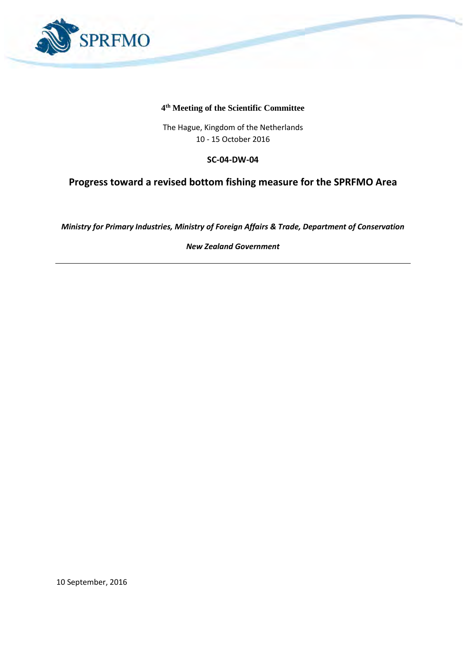

#### **4 th Meeting of the Scientific Committee**

The Hague, Kingdom of the Netherlands 10 - 15 October 2016

#### **SC-04-DW-04**

### **Progress toward a revised bottom fishing measure for the SPRFMO Area**

*Ministry for Primary Industries, Ministry of Foreign Affairs & Trade, Department of Conservation*

*New Zealand Government*

10 September, 2016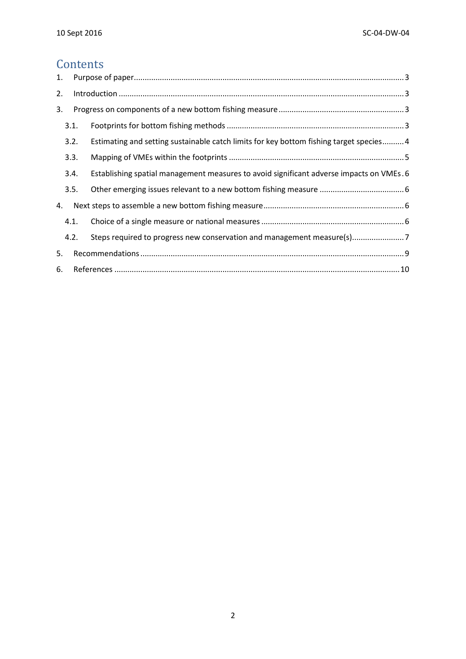## **Contents**

| 1. |      |                                                                                         |  |  |  |
|----|------|-----------------------------------------------------------------------------------------|--|--|--|
| 2. |      |                                                                                         |  |  |  |
| 3. |      |                                                                                         |  |  |  |
|    | 3.1. |                                                                                         |  |  |  |
|    | 3.2. | Estimating and setting sustainable catch limits for key bottom fishing target species4  |  |  |  |
|    | 3.3. |                                                                                         |  |  |  |
|    | 3.4. | Establishing spatial management measures to avoid significant adverse impacts on VMEs.6 |  |  |  |
|    | 3.5. |                                                                                         |  |  |  |
| 4. |      |                                                                                         |  |  |  |
|    | 4.1. |                                                                                         |  |  |  |
|    | 4.2. |                                                                                         |  |  |  |
| 5. |      |                                                                                         |  |  |  |
| 6. |      |                                                                                         |  |  |  |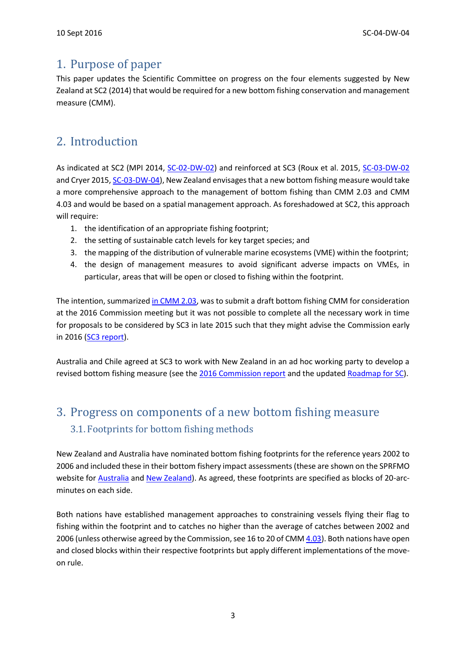## <span id="page-2-0"></span>1. Purpose of paper

This paper updates the Scientific Committee on progress on the four elements suggested by New Zealand at SC2 (2014) that would be required for a new bottom fishing conservation and management measure (CMM).

# <span id="page-2-1"></span>2. Introduction

As indicated at SC2 (MPI 2014, [SC-02-DW-02\)](http://www.sprfmo.int/assets/Meetings/Meetings-2013-plus/SC-Meetings/2nd-SC-Meeting-2014/Papers/SC-02-DW-02-SPRFMO-Bottom-fishing-conservation-and-management-overview-a.pdf) and reinforced at SC3 (Roux et al. 2015, [SC-03-DW-02](http://www.sprfmo.int/assets/Meetings/Meetings-2013-plus/SC-Meetings/3rd-SC-Meeting-2015/Papers/SC-03-DW-02-New-Zealand-research-relevant-to-the-assessment-of-stocks-of-orange-roughy.pdf) and Cryer 2015[, SC-03-DW-04\)](http://www.sprfmo.int/assets/Meetings/Meetings-2013-plus/SC-Meetings/3rd-SC-Meeting-2015/Papers/SC-03-DW-04-VME-spatial-final.pdf), New Zealand envisages that a new bottom fishing measure would take a more comprehensive approach to the management of bottom fishing than CMM 2.03 and CMM 4.03 and would be based on a spatial management approach. As foreshadowed at SC2, this approach will require:

- 1. the identification of an appropriate fishing footprint;
- 2. the setting of sustainable catch levels for key target species; and
- 3. the mapping of the distribution of vulnerable marine ecosystems (VME) within the footprint;
- 4. the design of management measures to avoid significant adverse impacts on VMEs, in particular, areas that will be open or closed to fishing within the footprint.

The intention, summarized [in CMM 2.03,](http://www.sprfmo.int/assets/Meetings/Meetings-2013-plus/Commission-Meetings/2nd-Commission-Meeting-2014-Manta-Ecuador/Annex-M-CMM-2.03-CMM-for-Bottom-Fishing.pdf) was to submit a draft bottom fishing CMM for consideration at the 2016 Commission meeting but it was not possible to complete all the necessary work in time for proposals to be considered by SC3 in late 2015 such that they might advise the Commission early in 2016 [\(SC3 report\)](http://www.sprfmo.int/assets/Meetings/Meetings-2013-plus/SC-Meetings/3rd-SC-Meeting-2015/Report/SC-03-Final-report-14Oct15-A1-7.pdf).

Australia and Chile agreed at SC3 to work with New Zealand in an ad hoc working party to develop a revised bottom fishing measure (see th[e 2016 Commission report](http://www.sprfmo.int/assets/Meetings/Meetings-2013-plus/Commission-Meetings/4th-Commission-Meeting-2016-Valdivia-Chile/Final-Report-and-Annexes/SPRFMO-4th-Commission-FINAL-REPORT-30Jan2016.pdf) and the updated [Roadmap for SC\)](http://www.sprfmo.int/assets/Meetings/Meetings-2013-plus/Commission-Meetings/3rd-Commission-Meeting-2015-Auckland-New-Zealand/Annex-C-COMM-03-2015-Roadmap-for-the-Scientific-Committee.pdf).

# <span id="page-2-3"></span><span id="page-2-2"></span>3. Progress on components of a new bottom fishing measure 3.1. Footprints for bottom fishing methods

New Zealand and Australia have nominated bottom fishing footprints for the reference years 2002 to 2006 and included these in their bottom fishery impact assessments (these are shown on the SPRFMO website for [Australia](http://www.sprfmo.int/assets/Meetings/Meetings-before-2013/Scientific-Working-Group/SWG-10-2011/SWG-10-DW-01a-Australian-BFIA-Final-Report.pdf) an[d New Zealand\)](http://www.sprfmo.int/assets/Meetings/Meetings-before-2013/Scientific-Working-Group/SWG-06-2008/a-Miscellaneous-Documents/New-Zealand-Bottom-Fishery-Impact-Assessment-v1.3-2009-05-13.pdf). As agreed, these footprints are specified as blocks of 20-arcminutes on each side.

Both nations have established management approaches to constraining vessels flying their flag to fishing within the footprint and to catches no higher than the average of catches between 2002 and 2006 (unless otherwise agreed by the Commission, see 16 to 20 of CM[M 4.03\)](http://www.sprfmo.int/assets/Fisheries/Conservation-and-Management-Measures/CMM-4.03-Bottom-Fishing-2016-4Mar2016.pdf). Both nations have open and closed blocks within their respective footprints but apply different implementations of the moveon rule.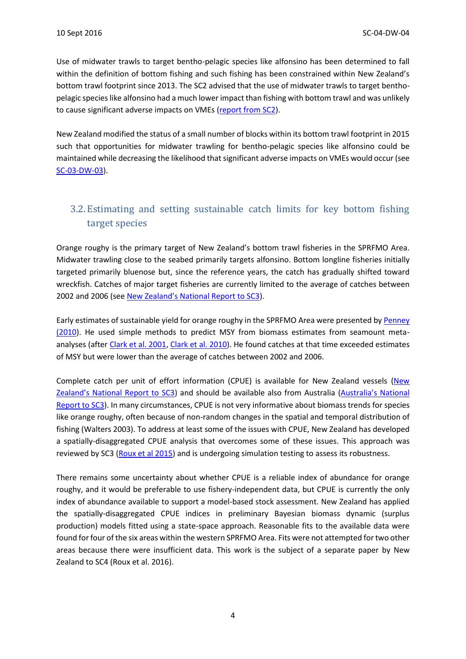Use of midwater trawls to target bentho-pelagic species like alfonsino has been determined to fall within the definition of bottom fishing and such fishing has been constrained within New Zealand's bottom trawl footprint since 2013. The SC2 advised that the use of midwater trawls to target benthopelagic species like alfonsino had a much lower impact than fishing with bottom trawl and was unlikely to cause significant adverse impacts on VMEs [\(report from SC2\)](http://www.sprfmo.int/assets/Meetings/Meetings-2013-plus/SC-Meetings/2nd-SC-Meeting-2014/Report/SC-02-Final-Report-21Oct-accepted.pdf).

New Zealand modified the status of a small number of blocks within its bottom trawl footprint in 2015 such that opportunities for midwater trawling for bentho-pelagic species like alfonsino could be maintained while decreasing the likelihood that significant adverse impacts on VMEs would occur (see [SC-03-DW-03\)](http://www.sprfmo.int/assets/Meetings/Meetings-2013-plus/SC-Meetings/3rd-SC-Meeting-2015/Papers/SC-03-DW-03-New-Zealand-notification-of-amendments-to-the-status-of-blocks-within-its-bottom-fishing-footprint-for-trawl.pdf).

### <span id="page-3-0"></span>3.2. Estimating and setting sustainable catch limits for key bottom fishing target species

Orange roughy is the primary target of New Zealand's bottom trawl fisheries in the SPRFMO Area. Midwater trawling close to the seabed primarily targets alfonsino. Bottom longline fisheries initially targeted primarily bluenose but, since the reference years, the catch has gradually shifted toward wreckfish. Catches of major target fisheries are currently limited to the average of catches between 2002 and 2006 (see [New Zealand's National Report to SC3](http://www.sprfmo.int/assets/Meetings/Meetings-2013-plus/SC-Meetings/3rd-SC-Meeting-2015/Papers/SC-03-22-New-Zealand-Annual-report.pdf)).

Early estimates of sustainable yield for orange roughy in the SPRFMO Area were presented by Penney [\(2010\)](http://www.sprfmo.int/assets/Meetings/Meetings-before-2013/Scientific-Working-Group/SWG-09-2010/SWG-09-DW-02-Penney-2010-Sustainable-Catch-Limits-for-Orange-Roughy-in-the-SPRFMO-Area.pdf). He used simple methods to predict MSY from biomass estimates from seamount meta-analyses (after [Clark et al. 2001,](http://www.sprfmo.int/assets/Meetings/Meetings-before-2013/Scientific-Working-Group/SWG-09-2010/SWG-09-INF-02-Clark-et-al-2001-Estimation-of-catch-levels-for-new-ORH-fisheries-on-seamounts3.pdf) [Clark et al. 2010\)](http://www.sprfmo.int/assets/Meetings/Meetings-before-2013/Scientific-Working-Group/SWG-09-2010/SWG-09-INF-01-Clark-et-al-2010-Sustainable-catch-estimates-for-high-seas-ORH.pdf). He found catches at that time exceeded estimates of MSY but were lower than the average of catches between 2002 and 2006.

Complete catch per unit of effort information (CPUE) is available for New Zealand vessels (New [Zealand's National Report to SC3](http://www.sprfmo.int/assets/Meetings/Meetings-2013-plus/SC-Meetings/3rd-SC-Meeting-2015/Papers/SC-03-22-New-Zealand-Annual-report.pdf)) and should be available also from Australia ([Australia's National](http://www.sprfmo.int/assets/Meetings/Meetings-2013-plus/SC-Meetings/3rd-SC-Meeting-2015/Papers/SC-03-20-rev1-Australia-Annual-report.pdf)  [Report to SC3\)](http://www.sprfmo.int/assets/Meetings/Meetings-2013-plus/SC-Meetings/3rd-SC-Meeting-2015/Papers/SC-03-20-rev1-Australia-Annual-report.pdf). In many circumstances, CPUE is not very informative about biomass trends for species like orange roughy, often because of non-random changes in the spatial and temporal distribution of fishing (Walters 2003). To address at least some of the issues with CPUE, New Zealand has developed a spatially-disaggregated CPUE analysis that overcomes some of these issues. This approach was reviewed by SC3 [\(Roux et al 2015\)](http://www.sprfmo.int/assets/Meetings/Meetings-2013-plus/SC-Meetings/3rd-SC-Meeting-2015/Papers/SC-03-DW-02-New-Zealand-research-relevant-to-the-assessment-of-stocks-of-orange-roughy.pdf) and is undergoing simulation testing to assess its robustness.

There remains some uncertainty about whether CPUE is a reliable index of abundance for orange roughy, and it would be preferable to use fishery-independent data, but CPUE is currently the only index of abundance available to support a model-based stock assessment. New Zealand has applied the spatially-disaggregated CPUE indices in preliminary Bayesian biomass dynamic (surplus production) models fitted using a state-space approach. Reasonable fits to the available data were found for four of the six areas within the western SPRFMO Area. Fits were not attempted for two other areas because there were insufficient data. This work is the subject of a separate paper by New Zealand to SC4 (Roux et al. 2016).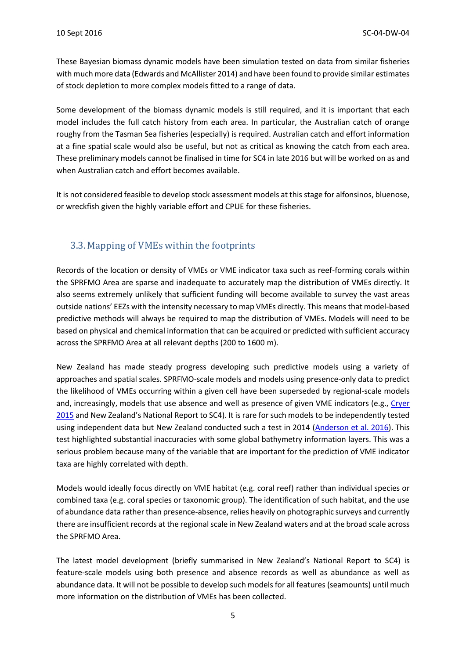These Bayesian biomass dynamic models have been simulation tested on data from similar fisheries with much more data (Edwards and McAllister 2014) and have been found to provide similar estimates of stock depletion to more complex models fitted to a range of data.

Some development of the biomass dynamic models is still required, and it is important that each model includes the full catch history from each area. In particular, the Australian catch of orange roughy from the Tasman Sea fisheries (especially) is required. Australian catch and effort information at a fine spatial scale would also be useful, but not as critical as knowing the catch from each area. These preliminary models cannot be finalised in time for SC4 in late 2016 but will be worked on as and when Australian catch and effort becomes available.

It is not considered feasible to develop stock assessment models at this stage for alfonsinos, bluenose, or wreckfish given the highly variable effort and CPUE for these fisheries.

#### <span id="page-4-0"></span>3.3. Mapping of VMEs within the footprints

Records of the location or density of VMEs or VME indicator taxa such as reef-forming corals within the SPRFMO Area are sparse and inadequate to accurately map the distribution of VMEs directly. It also seems extremely unlikely that sufficient funding will become available to survey the vast areas outside nations' EEZs with the intensity necessary to map VMEs directly. This means that model-based predictive methods will always be required to map the distribution of VMEs. Models will need to be based on physical and chemical information that can be acquired or predicted with sufficient accuracy across the SPRFMO Area at all relevant depths (200 to 1600 m).

New Zealand has made steady progress developing such predictive models using a variety of approaches and spatial scales. SPRFMO-scale models and models using presence-only data to predict the likelihood of VMEs occurring within a given cell have been superseded by regional-scale models and, increasingly, models that use absence and well as presence of given VME indicators (e.g., Cryer [2015](http://www.sprfmo.int/assets/Meetings/Meetings-2013-plus/SC-Meetings/3rd-SC-Meeting-2015/Papers/SC-03-DW-04-VME-spatial-final.pdf) and New Zealand's National Report to SC4). It is rare for such models to be independently tested using independent data but New Zealand conducted such a test in 2014 [\(Anderson et al. 2016\)](http://www.sciencedirect.com/science/article/pii/S0964569115300740). This test highlighted substantial inaccuracies with some global bathymetry information layers. This was a serious problem because many of the variable that are important for the prediction of VME indicator taxa are highly correlated with depth.

Models would ideally focus directly on VME habitat (e.g. coral reef) rather than individual species or combined taxa (e.g. coral species or taxonomic group). The identification of such habitat, and the use of abundance data rather than presence-absence, relies heavily on photographic surveys and currently there are insufficient records at the regional scale in New Zealand waters and at the broad scale across the SPRFMO Area.

The latest model development (briefly summarised in New Zealand's National Report to SC4) is feature-scale models using both presence and absence records as well as abundance as well as abundance data. It will not be possible to develop such models for all features (seamounts) until much more information on the distribution of VMEs has been collected.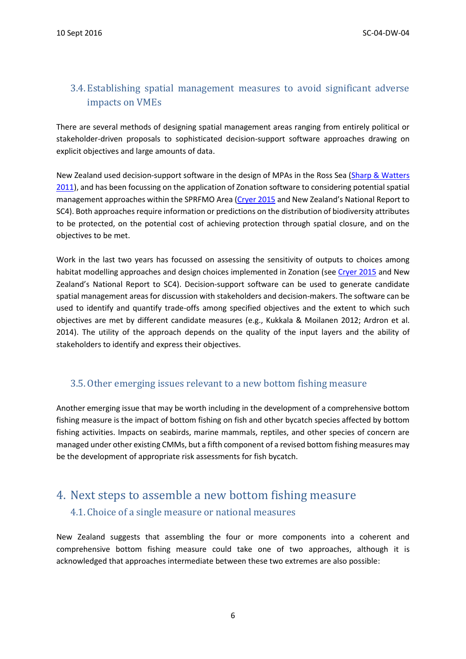#### <span id="page-5-0"></span>3.4. Establishing spatial management measures to avoid significant adverse impacts on VMEs

There are several methods of designing spatial management areas ranging from entirely political or stakeholder-driven proposals to sophisticated decision-support software approaches drawing on explicit objectives and large amounts of data.

New Zealand used decision-support software in the design of MPAs in the Ross Sea (Sharp & Watters [2011\)](http://www.ccamlr.org/en/ws-mpa-11/25), and has been focussing on the application of Zonation software to considering potential spatial management approaches within the SPRFMO Area [\(Cryer 2015](http://www.sprfmo.int/assets/Meetings/Meetings-2013-plus/SC-Meetings/3rd-SC-Meeting-2015/Papers/SC-03-DW-04-VME-spatial-final.pdf) and New Zealand's National Report to SC4). Both approaches require information or predictions on the distribution of biodiversity attributes to be protected, on the potential cost of achieving protection through spatial closure, and on the objectives to be met.

Work in the last two years has focussed on assessing the sensitivity of outputs to choices among habitat modelling approaches and design choices implemented in Zonation (see [Cryer 2015](http://www.sprfmo.int/assets/Meetings/Meetings-2013-plus/SC-Meetings/3rd-SC-Meeting-2015/Papers/SC-03-DW-04-VME-spatial-final.pdf) and New Zealand's National Report to SC4). Decision-support software can be used to generate candidate spatial management areas for discussion with stakeholders and decision-makers. The software can be used to identify and quantify trade-offs among specified objectives and the extent to which such objectives are met by different candidate measures (e.g., Kukkala & Moilanen 2012; Ardron et al. 2014). The utility of the approach depends on the quality of the input layers and the ability of stakeholders to identify and express their objectives.

#### <span id="page-5-1"></span>3.5.Other emerging issues relevant to a new bottom fishing measure

Another emerging issue that may be worth including in the development of a comprehensive bottom fishing measure is the impact of bottom fishing on fish and other bycatch species affected by bottom fishing activities. Impacts on seabirds, marine mammals, reptiles, and other species of concern are managed under other existing CMMs, but a fifth component of a revised bottom fishing measures may be the development of appropriate risk assessments for fish bycatch.

## <span id="page-5-3"></span><span id="page-5-2"></span>4. Next steps to assemble a new bottom fishing measure 4.1. Choice of a single measure or national measures

New Zealand suggests that assembling the four or more components into a coherent and comprehensive bottom fishing measure could take one of two approaches, although it is acknowledged that approaches intermediate between these two extremes are also possible: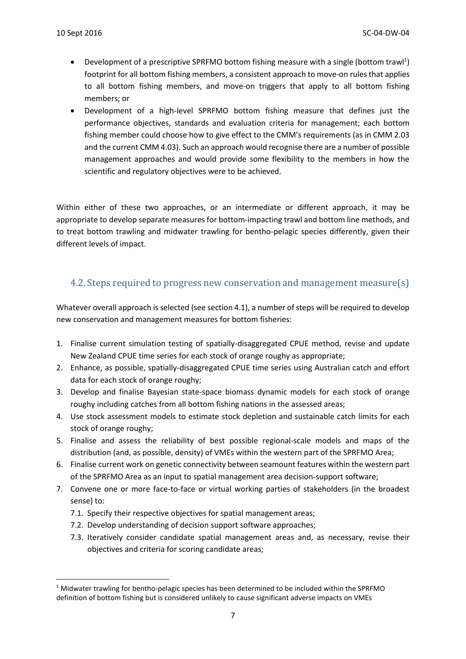**.** 

- Development of a prescriptive SPRFMO bottom fishing measure with a single (bottom trawl<sup>1</sup>) footprint for all bottom fishing members, a consistent approach to move-on rules that applies to all bottom fishing members, and move-on triggers that apply to all bottom fishing members; or
- Development of a high-level SPRFMO bottom fishing measure that defines just the performance objectives, standards and evaluation criteria for management; each bottom fishing member could choose how to give effect to the CMM's requirements (as in CMM 2.03 and the current CMM 4.03). Such an approach would recognise there are a number of possible management approaches and would provide some flexibility to the members in how the scientific and regulatory objectives were to be achieved.

Within either of these two approaches, or an intermediate or different approach, it may be appropriate to develop separate measures for bottom-impacting trawl and bottom line methods, and to treat bottom trawling and midwater trawling for bentho-pelagic species differently, given their different levels of impact.

#### <span id="page-6-0"></span>4.2. Steps required to progress new conservation and management measure(s)

Whatever overall approach is selected (see section 4.1), a number of steps will be required to develop new conservation and management measures for bottom fisheries:

- 1. Finalise current simulation testing of spatially-disaggregated CPUE method, revise and update New Zealand CPUE time series for each stock of orange roughy as appropriate;
- 2. Enhance, as possible, spatially-disaggregated CPUE time series using Australian catch and effort data for each stock of orange roughy;
- 3. Develop and finalise Bayesian state-space biomass dynamic models for each stock of orange roughy including catches from all bottom fishing nations in the assessed areas;
- 4. Use stock assessment models to estimate stock depletion and sustainable catch limits for each stock of orange roughy;
- 5. Finalise and assess the reliability of best possible regional-scale models and maps of the distribution (and, as possible, density) of VMEs within the western part of the SPRFMO Area;
- 6. Finalise current work on genetic connectivity between seamount features within the western part of the SPRFMO Area as an input to spatial management area decision-support software;
- 7. Convene one or more face-to-face or virtual working parties of stakeholders (in the broadest sense) to:
	- 7.1. Specify their respective objectives for spatial management areas;
	- 7.2. Develop understanding of decision support software approaches;
	- 7.3. Iteratively consider candidate spatial management areas and, as necessary, revise their objectives and criteria for scoring candidate areas;

 $1$  Midwater trawling for bentho-pelagic species has been determined to be included within the SPRFMO definition of bottom fishing but is considered unlikely to cause significant adverse impacts on VMEs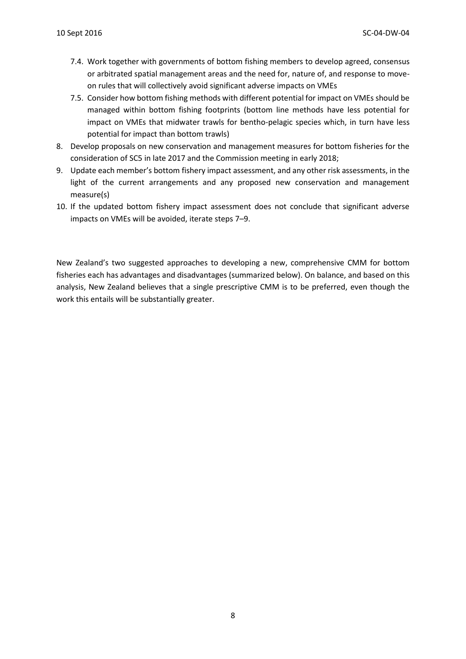- 7.4. Work together with governments of bottom fishing members to develop agreed, consensus or arbitrated spatial management areas and the need for, nature of, and response to moveon rules that will collectively avoid significant adverse impacts on VMEs
- 7.5. Consider how bottom fishing methods with different potential for impact on VMEs should be managed within bottom fishing footprints (bottom line methods have less potential for impact on VMEs that midwater trawls for bentho-pelagic species which, in turn have less potential for impact than bottom trawls)
- 8. Develop proposals on new conservation and management measures for bottom fisheries for the consideration of SC5 in late 2017 and the Commission meeting in early 2018;
- 9. Update each member's bottom fishery impact assessment, and any other risk assessments, in the light of the current arrangements and any proposed new conservation and management measure(s)
- 10. If the updated bottom fishery impact assessment does not conclude that significant adverse impacts on VMEs will be avoided, iterate steps 7–9.

New Zealand's two suggested approaches to developing a new, comprehensive CMM for bottom fisheries each has advantages and disadvantages (summarized below). On balance, and based on this analysis, New Zealand believes that a single prescriptive CMM is to be preferred, even though the work this entails will be substantially greater.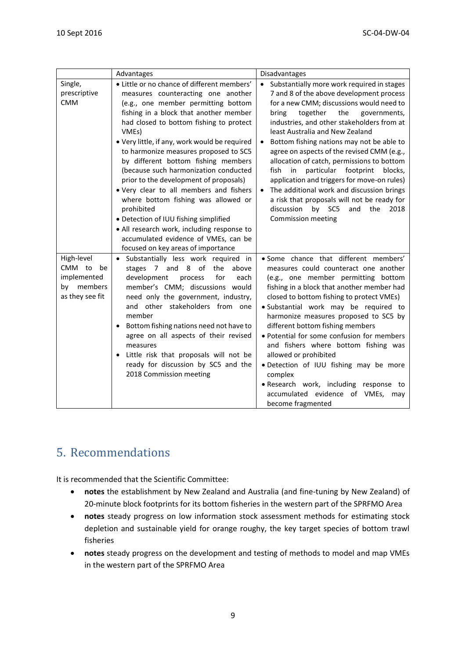|                                                                               | Advantages                                                                                                                                                                                                                                                                                                                                                                                                                                                                                                                                                                                                                                                                                                      | Disadvantages                                                                                                                                                                                                                                                                                                                                                                                                                                                                                                                                                                                                                                                                      |
|-------------------------------------------------------------------------------|-----------------------------------------------------------------------------------------------------------------------------------------------------------------------------------------------------------------------------------------------------------------------------------------------------------------------------------------------------------------------------------------------------------------------------------------------------------------------------------------------------------------------------------------------------------------------------------------------------------------------------------------------------------------------------------------------------------------|------------------------------------------------------------------------------------------------------------------------------------------------------------------------------------------------------------------------------------------------------------------------------------------------------------------------------------------------------------------------------------------------------------------------------------------------------------------------------------------------------------------------------------------------------------------------------------------------------------------------------------------------------------------------------------|
| Single,<br>prescriptive<br><b>CMM</b>                                         | • Little or no chance of different members'<br>measures counteracting one another<br>(e.g., one member permitting bottom<br>fishing in a block that another member<br>had closed to bottom fishing to protect<br>VMEs)<br>. Very little, if any, work would be required<br>to harmonize measures proposed to SC5<br>by different bottom fishing members<br>(because such harmonization conducted<br>prior to the development of proposals)<br>. Very clear to all members and fishers<br>where bottom fishing was allowed or<br>prohibited<br>· Detection of IUU fishing simplified<br>• All research work, including response to<br>accumulated evidence of VMEs, can be<br>focused on key areas of importance | Substantially more work required in stages<br>$\bullet$<br>7 and 8 of the above development process<br>for a new CMM; discussions would need to<br>together<br>the<br>bring<br>governments,<br>industries, and other stakeholders from at<br>least Australia and New Zealand<br>Bottom fishing nations may not be able to<br>agree on aspects of the revised CMM (e.g.,<br>allocation of catch, permissions to bottom<br>fish<br>in<br>particular footprint<br>blocks,<br>application and triggers for move-on rules)<br>The additional work and discussion brings<br>a risk that proposals will not be ready for<br>discussion<br>by SC5<br>and the<br>2018<br>Commission meeting |
| High-level<br>CMM to<br>be<br>implemented<br>members<br>by<br>as they see fit | · Substantially less work required in<br>stages 7 and 8 of<br>the<br>above<br>development<br>for<br>process<br>each<br>member's CMM; discussions would<br>need only the government, industry,<br>other stakeholders from one<br>and<br>member<br>Bottom fishing nations need not have to<br>agree on all aspects of their revised<br>measures<br>Little risk that proposals will not be<br>ready for discussion by SC5 and the<br>2018 Commission meeting                                                                                                                                                                                                                                                       | · Some chance that different members'<br>measures could counteract one another<br>(e.g., one member permitting bottom<br>fishing in a block that another member had<br>closed to bottom fishing to protect VMEs)<br>· Substantial work may be required to<br>harmonize measures proposed to SC5 by<br>different bottom fishing members<br>· Potential for some confusion for members<br>and fishers where bottom fishing was<br>allowed or prohibited<br>· Detection of IUU fishing may be more<br>complex<br>· Research work, including response to<br>accumulated evidence of VMEs, may<br>become fragmented                                                                     |

## <span id="page-8-0"></span>5. Recommendations

It is recommended that the Scientific Committee:

- **notes** the establishment by New Zealand and Australia (and fine-tuning by New Zealand) of 20-minute block footprints for its bottom fisheries in the western part of the SPRFMO Area
- **notes** steady progress on low information stock assessment methods for estimating stock depletion and sustainable yield for orange roughy, the key target species of bottom trawl fisheries
- **notes** steady progress on the development and testing of methods to model and map VMEs in the western part of the SPRFMO Area